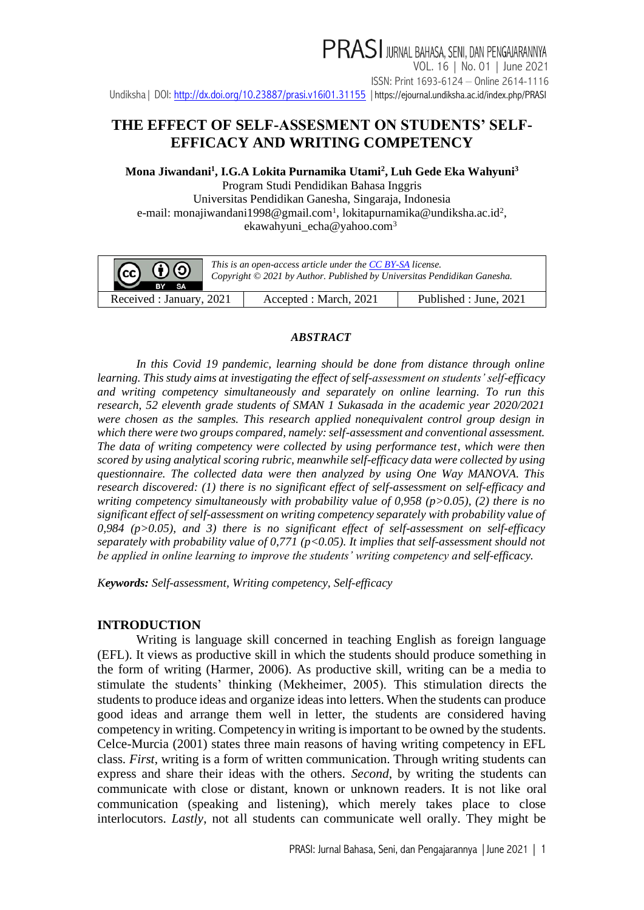PRASI JURNAL BAHASA, SENI, DAN PENGAJARANNYA VOL. 16 | No. 01 | June 2021 ISSN: Print 1693-6124 – Online 2614-1116 Undiksha | DOI:<http://dx.doi.org/10.23887/prasi.v16i01.31155> | <https://ejournal.undiksha.ac.id/index.php/PRASI>

# **THE EFFECT OF SELF-ASSESMENT ON STUDENTS' SELF-EFFICACY AND WRITING COMPETENCY**

**Mona Jiwandani<sup>1</sup> , I.G.A Lokita Purnamika Utami<sup>2</sup> , Luh Gede Eka Wahyuni<sup>3</sup>**

Program Studi Pendidikan Bahasa Inggris Universitas Pendidikan Ganesha, Singaraja, Indonesia e-mail: [monajiwandani1998@gmail.com](mailto:monajiwandani1998@gmail.com)<sup>1</sup>, [lokitapurnamika@undiksha.ac.id](mailto:lokitapurnamika@undiksha.ac.id)<sup>2</sup>, [ekawahyuni\\_echa@yahoo.com](mailto:ekawahyuni_echa@yahoo.com)<sup>3</sup>



#### *ABSTRACT*

*In this Covid 19 pandemic, learning should be done from distance through online learning. This study aims at investigating the effect of self-assessment on students' self-efficacy and writing competency simultaneously and separately on online learning. To run this research, 52 eleventh grade students of SMAN 1 Sukasada in the academic year 2020/2021 were chosen as the samples. This research applied nonequivalent control group design in which there were two groups compared, namely: self-assessment and conventional assessment. The data of writing competency were collected by using performance test, which were then scored by using analytical scoring rubric, meanwhile self-efficacy data were collected by using questionnaire. The collected data were then analyzed by using One Way MANOVA. This research discovered: (1) there is no significant effect of self-assessment on self-efficacy and writing competency simultaneously with probability value of 0,958 (p>0.05), (2) there is no significant effect of self-assessment on writing competency separately with probability value of 0,984 (p>0.05), and 3) there is no significant effect of self-assessment on self-efficacy separately with probability value of 0,771 (p<0.05). It implies that self-assessment should not be applied in online learning to improve the students' writing competency and self-efficacy.*

*Keywords: Self-assessment, Writing competency, Self-efficacy*

#### **INTRODUCTION**

Writing is language skill concerned in teaching English as foreign language (EFL). It views as productive skill in which the students should produce something in the form of writing (Harmer, 2006). As productive skill, writing can be a media to stimulate the students' thinking (Mekheimer, 2005). This stimulation directs the students to produce ideas and organize ideas into letters. When the students can produce good ideas and arrange them well in letter, the students are considered having competency in writing. Competencyin writing is important to be owned by the students. Celce-Murcia (2001) states three main reasons of having writing competency in EFL class. *First*, writing is a form of written communication. Through writing students can express and share their ideas with the others. *Second*, by writing the students can communicate with close or distant, known or unknown readers. It is not like oral communication (speaking and listening), which merely takes place to close interlocutors. *Lastly*, not all students can communicate well orally. They might be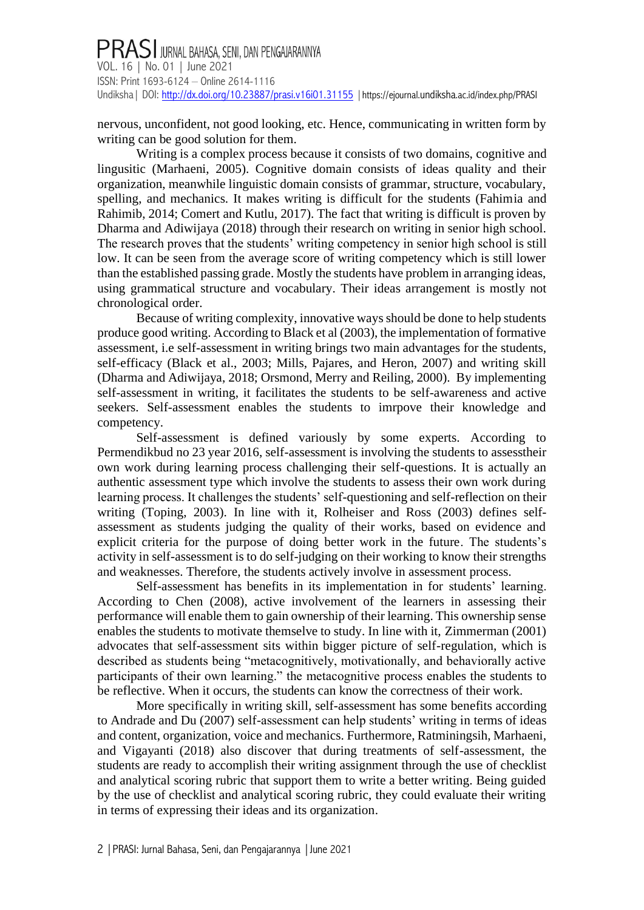## PRASI JURNAL BAHASA, SENI, DAN PENGAJARANNYA VOL. 16 | No. 01 | June 2021 ISSN: Print 1693-6124 – Online 2614-1116 Undiksha | DOI[: http://dx.doi.org/10.23887/prasi.v16i01.31155](http://dx.doi.org/10.23887/prasi.v16i01.31155) | https://ejournal.undiksha[.ac.id/index.php/PRASI](https://ejournal.undiksha.ac.id/index.php/PRASI)

nervous, unconfident, not good looking, etc. Hence, communicating in written form by writing can be good solution for them.

Writing is a complex process because it consists of two domains, cognitive and lingusitic (Marhaeni, 2005). Cognitive domain consists of ideas quality and their organization, meanwhile linguistic domain consists of grammar, structure, vocabulary, spelling, and mechanics. It makes writing is difficult for the students (Fahimia and Rahimib, 2014; Comert and Kutlu, 2017). The fact that writing is difficult is proven by Dharma and Adiwijaya (2018) through their research on writing in senior high school. The research proves that the students' writing competency in senior high school is still low. It can be seen from the average score of writing competency which is still lower than the established passing grade. Mostly the students have problem in arranging ideas, using grammatical structure and vocabulary. Their ideas arrangement is mostly not chronological order.

Because of writing complexity, innovative ways should be done to help students produce good writing. According to Black et al (2003), the implementation of formative assessment, i.e self-assessment in writing brings two main advantages for the students, self-efficacy (Black et al., 2003; Mills, Pajares, and Heron, 2007) and writing skill (Dharma and Adiwijaya, 2018; Orsmond, Merry and Reiling, 2000). By implementing self-assessment in writing, it facilitates the students to be self-awareness and active seekers. Self-assessment enables the students to imrpove their knowledge and competency.

Self-assessment is defined variously by some experts. According to Permendikbud no 23 year 2016, self-assessment is involving the students to assesstheir own work during learning process challenging their self-questions. It is actually an authentic assessment type which involve the students to assess their own work during learning process. It challenges the students' self-questioning and self-reflection on their writing (Toping, 2003). In line with it, Rolheiser and Ross (2003) defines selfassessment as students judging the quality of their works, based on evidence and explicit criteria for the purpose of doing better work in the future. The students's activity in self-assessment is to do self-judging on their working to know their strengths and weaknesses. Therefore, the students actively involve in assessment process.

Self-assessment has benefits in its implementation in for students' learning. According to Chen (2008), active involvement of the learners in assessing their performance will enable them to gain ownership of their learning. This ownership sense enables the students to motivate themselve to study. In line with it, Zimmerman (2001) advocates that self-assessment sits within bigger picture of self-regulation, which is described as students being "metacognitively, motivationally, and behaviorally active participants of their own learning." the metacognitive process enables the students to be reflective. When it occurs, the students can know the correctness of their work.

More specifically in writing skill, self-assessment has some benefits according to Andrade and Du (2007) self-assessment can help students' writing in terms of ideas and content, organization, voice and mechanics. Furthermore, Ratminingsih, Marhaeni, and Vigayanti (2018) also discover that during treatments of self-assessment, the students are ready to accomplish their writing assignment through the use of checklist and analytical scoring rubric that support them to write a better writing. Being guided by the use of checklist and analytical scoring rubric, they could evaluate their writing in terms of expressing their ideas and its organization.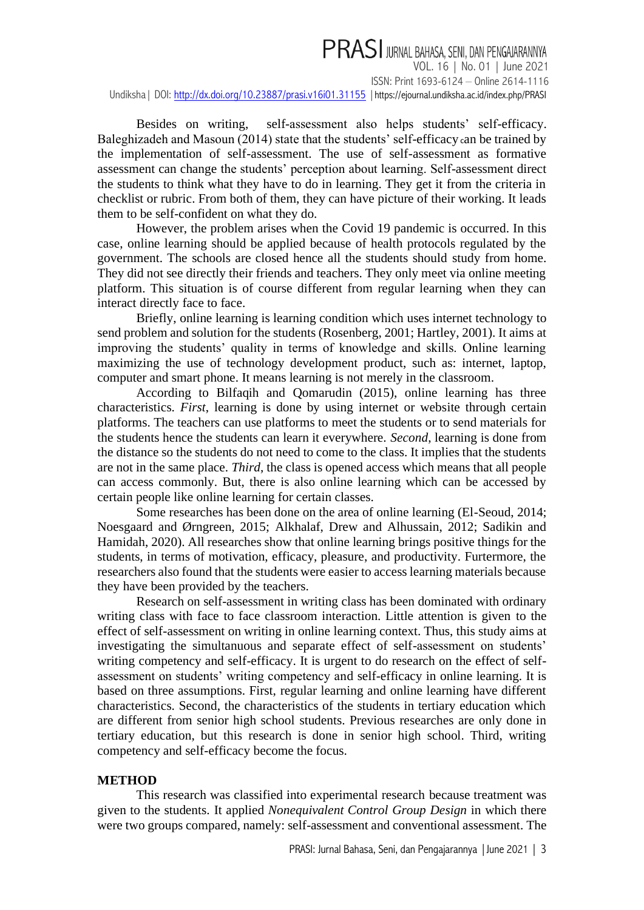# **PRASI** JURNAL BAHASA, SENI, DAN PENGAJARANNYA<br>VOL. 16 | No. 01 | June 2021

ISSN: Print 1693-6124 – Online 2614-1116 Undiksha| DOI:<http://dx.doi.org/10.23887/prasi.v16i01.31155> |<https://ejournal.undiksha.ac.id/index.php/PRASI>

Besides on writing, self-assessment also helps students' self-efficacy. Baleghizadeh and Masoun (2014) state that the students' self-efficacy <sup>c</sup>an be trained by the implementation of self-assessment. The use of self-assessment as formative assessment can change the students' perception about learning. Self-assessment direct the students to think what they have to do in learning. They get it from the criteria in checklist or rubric. From both of them, they can have picture of their working. It leads them to be self-confident on what they do.

However, the problem arises when the Covid 19 pandemic is occurred. In this case, online learning should be applied because of health protocols regulated by the government. The schools are closed hence all the students should study from home. They did not see directly their friends and teachers. They only meet via online meeting platform. This situation is of course different from regular learning when they can interact directly face to face.

Briefly, online learning is learning condition which uses internet technology to send problem and solution for the students (Rosenberg, 2001; Hartley, 2001). It aims at improving the students' quality in terms of knowledge and skills. Online learning maximizing the use of technology development product, such as: internet, laptop, computer and smart phone. It means learning is not merely in the classroom.

According to Bilfaqih and Qomarudin (2015), online learning has three characteristics. *First*, learning is done by using internet or website through certain platforms. The teachers can use platforms to meet the students or to send materials for the students hence the students can learn it everywhere. *Second*, learning is done from the distance so the students do not need to come to the class. It implies that the students are not in the same place. *Third*, the class is opened access which means that all people can access commonly. But, there is also online learning which can be accessed by certain people like online learning for certain classes.

Some researches has been done on the area of online learning (El-Seoud, 2014; Noesgaard and Ørngreen, 2015; Alkhalaf, Drew and Alhussain, 2012; Sadikin and Hamidah, 2020). All researches show that online learning brings positive things for the students, in terms of motivation, efficacy, pleasure, and productivity. Furtermore, the researchers also found that the students were easier to access learning materials because they have been provided by the teachers.

Research on self-assessment in writing class has been dominated with ordinary writing class with face to face classroom interaction. Little attention is given to the effect of self-assessment on writing in online learning context. Thus, this study aims at investigating the simultanuous and separate effect of self-assessment on students' writing competency and self-efficacy. It is urgent to do research on the effect of selfassessment on students' writing competency and self-efficacy in online learning. It is based on three assumptions. First, regular learning and online learning have different characteristics. Second, the characteristics of the students in tertiary education which are different from senior high school students. Previous researches are only done in tertiary education, but this research is done in senior high school. Third, writing competency and self-efficacy become the focus.

#### **METHOD**

This research was classified into experimental research because treatment was given to the students. It applied *Nonequivalent Control Group Design* in which there were two groups compared, namely: self-assessment and conventional assessment*.* The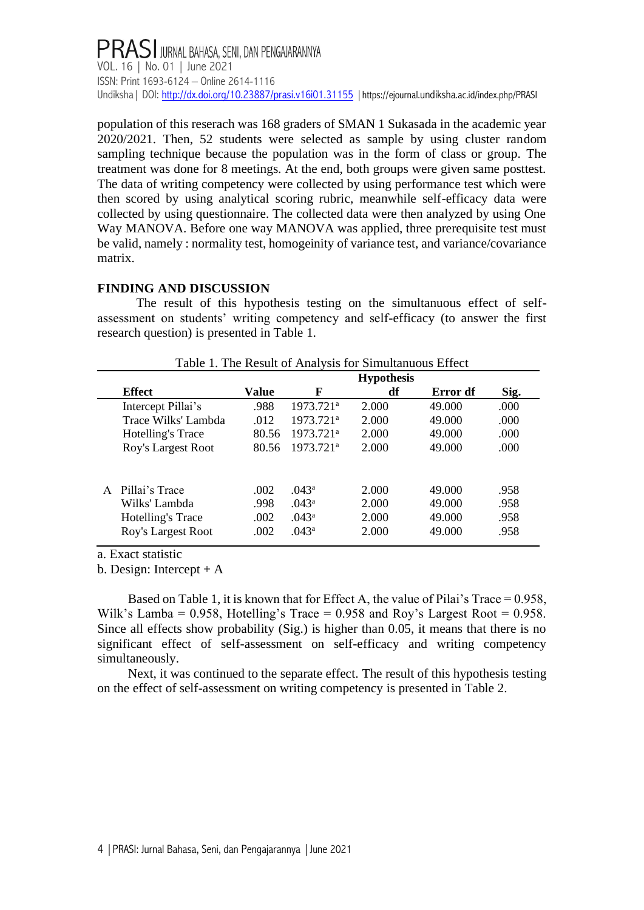# PRASI JURNAL BAHASA, SENI, DAN PENGAJARANNYA VOL. 16 | No. 01 | June 2021 ISSN: Print 1693-6124 – Online 2614-1116 Undiksha | DOI[: http://dx.doi.org/10.23887/prasi.v16i01.31155](http://dx.doi.org/10.23887/prasi.v16i01.31155) | https://ejournal.undiksha[.ac.id/index.php/PRASI](https://ejournal.undiksha.ac.id/index.php/PRASI)

population of this reserach was 168 graders of SMAN 1 Sukasada in the academic year 2020/2021. Then, 52 students were selected as sample by using cluster random sampling technique because the population was in the form of class or group. The treatment was done for 8 meetings. At the end, both groups were given same posttest. The data of writing competency were collected by using performance test which were then scored by using analytical scoring rubric, meanwhile self-efficacy data were collected by using questionnaire. The collected data were then analyzed by using One Way MANOVA. Before one way MANOVA was applied, three prerequisite test must be valid, namely : normality test, homogeinity of variance test, and variance/covariance matrix.

#### **FINDING AND DISCUSSION**

The result of this hypothesis testing on the simultanuous effect of selfassessment on students' writing competency and self-efficacy (to answer the first research question) is presented in Table 1.

|              |                           |       |                       | <b>Hypothesis</b> |          |      |
|--------------|---------------------------|-------|-----------------------|-------------------|----------|------|
|              | <b>Effect</b>             | Value | F                     | df                | Error df | Sig. |
|              | Intercept Pillai's        | .988  | 1973.721 <sup>a</sup> | 2.000             | 49,000   | .000 |
|              | Trace Wilks' Lambda       | .012  | 1973.721 <sup>a</sup> | 2.000             | 49,000   | .000 |
|              | Hotelling's Trace         | 80.56 | 1973.721 <sup>a</sup> | 2.000             | 49,000   | .000 |
|              | <b>Roy's Largest Root</b> | 80.56 | 1973.721 <sup>a</sup> | 2.000             | 49,000   | .000 |
|              |                           |       |                       |                   |          |      |
| $\mathsf{A}$ | Pillai's Trace            | .002  | .043 <sup>a</sup>     | 2.000             | 49.000   | .958 |
|              | Wilks' Lambda             | .998  | .043 <sup>a</sup>     | 2.000             | 49,000   | .958 |
|              | Hotelling's Trace         | .002  | .043 <sup>a</sup>     | 2.000             | 49,000   | .958 |
|              | Roy's Largest Root        | .002  | .043 <sup>a</sup>     | 2.000             | 49,000   | .958 |

|  |  |  |  |  |  |  |  |  | Table 1. The Result of Analysis for Simultanuous Effect |  |
|--|--|--|--|--|--|--|--|--|---------------------------------------------------------|--|
|--|--|--|--|--|--|--|--|--|---------------------------------------------------------|--|

a. Exact statistic

b. Design: Intercept  $+A$ 

Based on Table 1, it is known that for Effect A, the value of Pilai's Trace =  $0.958$ . Wilk's Lamba =  $0.958$ , Hotelling's Trace =  $0.958$  and Roy's Largest Root = 0.958. Since all effects show probability (Sig.) is higher than 0.05, it means that there is no significant effect of self-assessment on self-efficacy and writing competency simultaneously.

Next, it was continued to the separate effect. The result of this hypothesis testing on the effect of self-assessment on writing competency is presented in Table 2.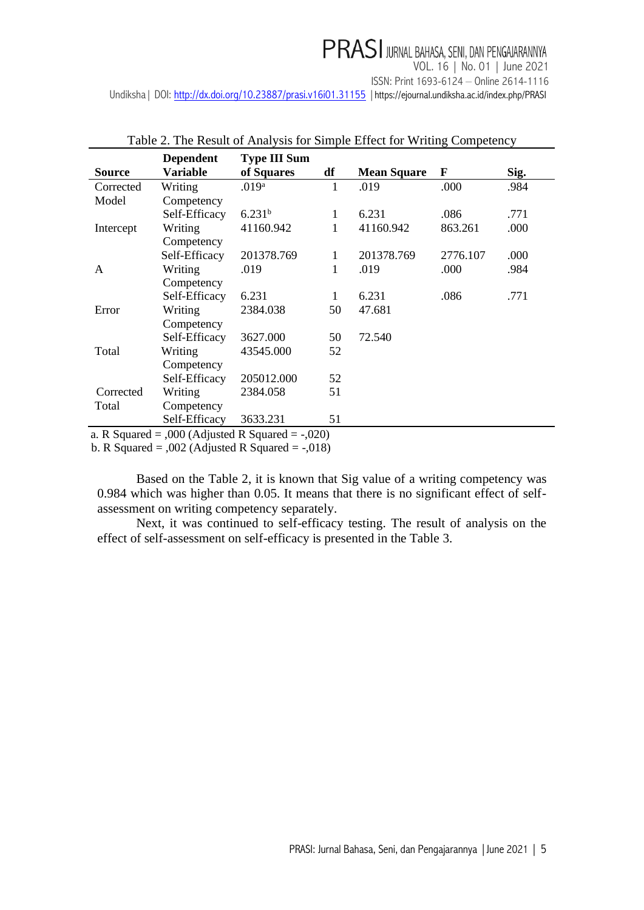VOL. 16 | No. 01 | June 2021 ISSN: Print 1693-6124 – Online 2614-1116

Undiksha | DOI:<http://dx.doi.org/10.23887/prasi.v16i01.31155> | <https://ejournal.undiksha.ac.id/index.php/PRASI>

|               | <b>Dependent</b> | <b>Type III Sum</b>                                 |    |                    |          |      |
|---------------|------------------|-----------------------------------------------------|----|--------------------|----------|------|
| <b>Source</b> | Variable         | of Squares                                          | df | <b>Mean Square</b> | F        | Sig. |
| Corrected     | Writing          | .019 <sup>a</sup>                                   | 1  | .019               | .000     | .984 |
| Model         | Competency       |                                                     |    |                    |          |      |
|               | Self-Efficacy    | 6.231 <sup>b</sup>                                  | 1  | 6.231              | .086     | .771 |
| Intercept     | Writing          | 41160.942                                           | 1  | 41160.942          | 863.261  | .000 |
|               | Competency       |                                                     |    |                    |          |      |
|               | Self-Efficacy    | 201378.769                                          | 1  | 201378.769         | 2776.107 | .000 |
| A             | Writing          | .019                                                | 1  | .019               | .000     | .984 |
|               | Competency       |                                                     |    |                    |          |      |
|               | Self-Efficacy    | 6.231                                               | 1  | 6.231              | .086     | .771 |
| Error         | Writing          | 2384.038                                            | 50 | 47.681             |          |      |
|               | Competency       |                                                     |    |                    |          |      |
|               | Self-Efficacy    | 3627.000                                            | 50 | 72.540             |          |      |
| Total         | Writing          | 43545.000                                           | 52 |                    |          |      |
|               | Competency       |                                                     |    |                    |          |      |
|               | Self-Efficacy    | 205012.000                                          | 52 |                    |          |      |
| Corrected     | Writing          | 2384.058                                            | 51 |                    |          |      |
| Total         | Competency       |                                                     |    |                    |          |      |
|               | Self-Efficacy    | 3633.231                                            | 51 |                    |          |      |
|               |                  | $\alpha$ R Squared – 000 (Adjusted R Squared – 020) |    |                    |          |      |

#### Table 2. The Result of Analysis for Simple Effect for Writing Competency

a. R Squared  $=$  ,000 (Adjusted R Squared  $=$  -,020)

b. R Squared  $=$  ,002 (Adjusted R Squared  $=$  -,018)

Based on the Table 2, it is known that Sig value of a writing competency was 0.984 which was higher than 0.05. It means that there is no significant effect of selfassessment on writing competency separately.

Next, it was continued to self-efficacy testing. The result of analysis on the effect of self-assessment on self-efficacy is presented in the Table 3.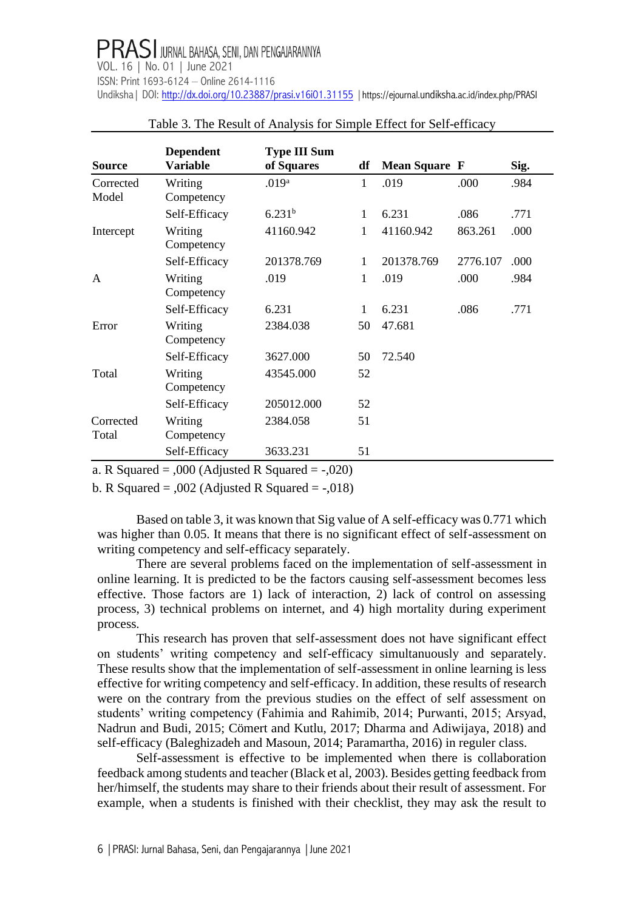| <b>Source</b>      | <b>Dependent</b><br>Variable | <b>Type III Sum</b><br>of Squares | df | <b>Mean Square F</b> |          | Sig. |
|--------------------|------------------------------|-----------------------------------|----|----------------------|----------|------|
| Corrected<br>Model | Writing<br>Competency        | .019 <sup>a</sup>                 | 1  | .019                 | .000     | .984 |
|                    | Self-Efficacy                | 6.231 <sup>b</sup>                | 1  | 6.231                | .086     | .771 |
| Intercept          | Writing<br>Competency        | 41160.942                         | 1  | 41160.942            | 863.261  | .000 |
|                    | Self-Efficacy                | 201378.769                        | 1  | 201378.769           | 2776.107 | .000 |
| A                  | Writing<br>Competency        | .019                              | 1  | .019                 | .000     | .984 |
|                    | Self-Efficacy                | 6.231                             | 1  | 6.231                | .086     | .771 |
| Error              | Writing<br>Competency        | 2384.038                          | 50 | 47.681               |          |      |
|                    | Self-Efficacy                | 3627.000                          | 50 | 72.540               |          |      |
| Total              | Writing<br>Competency        | 43545.000                         | 52 |                      |          |      |
|                    | Self-Efficacy                | 205012.000                        | 52 |                      |          |      |
| Corrected<br>Total | Writing<br>Competency        | 2384.058                          | 51 |                      |          |      |
|                    | Self-Efficacy                | 3633.231                          | 51 |                      |          |      |

#### Table 3. The Result of Analysis for Simple Effect for Self-efficacy

a. R Squared  $=$  0.00 (Adjusted R Squared  $=$  -0.020)

b. R Squared =  $,002$  (Adjusted R Squared =  $,018$ )

Based on table 3, it was known that Sig value of A self-efficacy was 0.771 which was higher than 0.05. It means that there is no significant effect of self-assessment on writing competency and self-efficacy separately.

There are several problems faced on the implementation of self-assessment in online learning. It is predicted to be the factors causing self-assessment becomes less effective. Those factors are 1) lack of interaction, 2) lack of control on assessing process, 3) technical problems on internet, and 4) high mortality during experiment process.

This research has proven that self-assessment does not have significant effect on students' writing competency and self-efficacy simultanuously and separately. These results show that the implementation of self-assessment in online learning is less effective for writing competency and self-efficacy. In addition, these results of research were on the contrary from the previous studies on the effect of self assessment on students' writing competency (Fahimia and Rahimib, 2014; Purwanti, 2015; Arsyad, Nadrun and Budi, 2015; Cömert and Kutlu, 2017; Dharma and Adiwijaya, 2018) and self-efficacy (Baleghizadeh and Masoun, 2014; Paramartha, 2016) in reguler class.

Self-assessment is effective to be implemented when there is collaboration feedback among students and teacher (Black et al, 2003). Besides getting feedback from her/himself, the students may share to their friends about their result of assessment. For example, when a students is finished with their checklist, they may ask the result to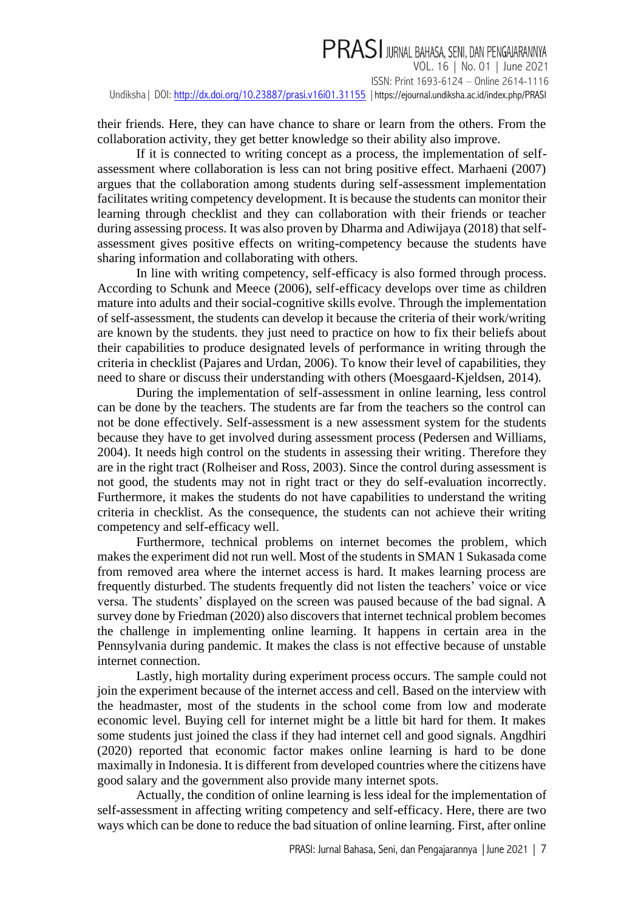# PRASI JURNAL BAHASA, SENI, DAN PENGAJARANNYA

VOL. 16 | No. 01 | June 2021 ISSN: Print 1693-6124 – Online 2614-1116 Undiksha| DOI:<http://dx.doi.org/10.23887/prasi.v16i01.31155> |<https://ejournal.undiksha.ac.id/index.php/PRASI>

their friends. Here, they can have chance to share or learn from the others. From the collaboration activity, they get better knowledge so their ability also improve.

If it is connected to writing concept as a process, the implementation of selfassessment where collaboration is less can not bring positive effect. Marhaeni (2007) argues that the collaboration among students during self-assessment implementation facilitates writing competency development. It is because the students can monitor their learning through checklist and they can collaboration with their friends or teacher during assessing process. It was also proven by Dharma and Adiwijaya (2018) that selfassessment gives positive effects on writing-competency because the students have sharing information and collaborating with others.

In line with writing competency, self-efficacy is also formed through process. According to Schunk and Meece (2006), self-efficacy develops over time as children mature into adults and their social-cognitive skills evolve. Through the implementation of self-assessment, the students can develop it because the criteria of their work/writing are known by the students. they just need to practice on how to fix their beliefs about their capabilities to produce designated levels of performance in writing through the criteria in checklist (Pajares and Urdan, 2006). To know their level of capabilities, they need to share or discuss their understanding with others (Moesgaard-Kjeldsen, 2014).

During the implementation of self-assessment in online learning, less control can be done by the teachers. The students are far from the teachers so the control can not be done effectively. Self-assessment is a new assessment system for the students because they have to get involved during assessment process (Pedersen and Williams, 2004). It needs high control on the students in assessing their writing. Therefore they are in the right tract (Rolheiser and Ross, 2003). Since the control during assessment is not good, the students may not in right tract or they do self-evaluation incorrectly. Furthermore, it makes the students do not have capabilities to understand the writing criteria in checklist. As the consequence, the students can not achieve their writing competency and self-efficacy well.

Furthermore, technical problems on internet becomes the problem, which makes the experiment did not run well. Most of the students in SMAN 1 Sukasada come from removed area where the internet access is hard. It makes learning process are frequently disturbed. The students frequently did not listen the teachers' voice or vice versa. The students' displayed on the screen was paused because of the bad signal. A survey done by Friedman (2020) also discovers that internet technical problem becomes the challenge in implementing online learning. It happens in certain area in the Pennsylvania during pandemic. It makes the class is not effective because of unstable internet connection.

Lastly, high mortality during experiment process occurs. The sample could not join the experiment because of the internet access and cell. Based on the interview with the headmaster, most of the students in the school come from low and moderate economic level. Buying cell for internet might be a little bit hard for them. It makes some students just joined the class if they had internet cell and good signals. Angdhiri (2020) reported that economic factor makes online learning is hard to be done maximally in Indonesia. It is different from developed countries where the citizens have good salary and the government also provide many internet spots.

Actually, the condition of online learning is less ideal for the implementation of self-assessment in affecting writing competency and self-efficacy. Here, there are two ways which can be done to reduce the bad situation of online learning. First, after online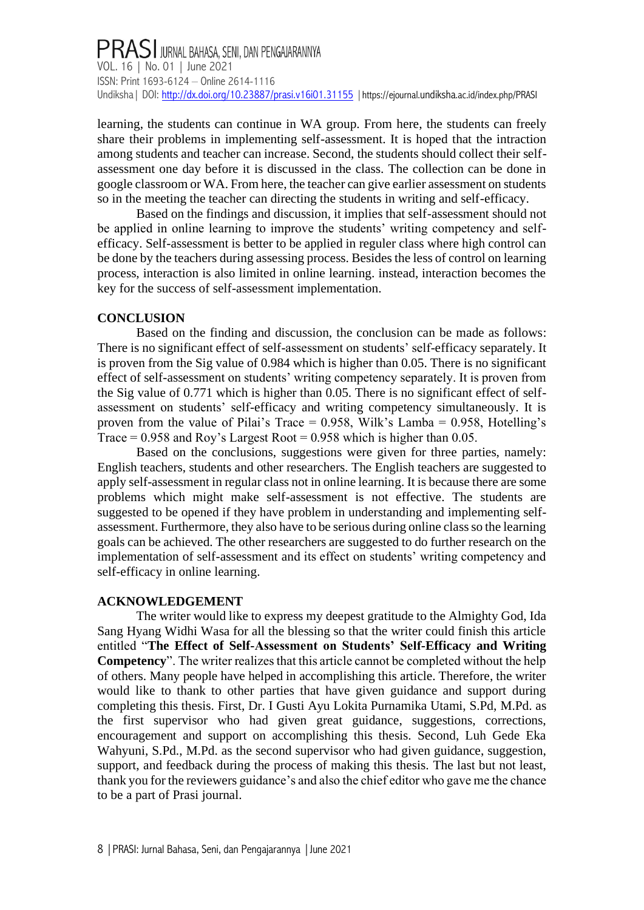# PRASI JURNAL BAHASA, SENI, DAN PENGAJARANNYA VOL. 16 | No. 01 | June 2021 ISSN: Print 1693-6124 – Online 2614-1116 Undiksha | DOI[: http://dx.doi.org/10.23887/prasi.v16i01.31155](http://dx.doi.org/10.23887/prasi.v16i01.31155) | https://ejournal.undiksha[.ac.id/index.php/PRASI](https://ejournal.undiksha.ac.id/index.php/PRASI)

learning, the students can continue in WA group. From here, the students can freely share their problems in implementing self-assessment. It is hoped that the intraction among students and teacher can increase. Second, the students should collect their selfassessment one day before it is discussed in the class. The collection can be done in google classroom or WA. From here, the teacher can give earlier assessment on students so in the meeting the teacher can directing the students in writing and self-efficacy.

Based on the findings and discussion, it implies that self-assessment should not be applied in online learning to improve the students' writing competency and selfefficacy. Self-assessment is better to be applied in reguler class where high control can be done by the teachers during assessing process. Besides the less of control on learning process, interaction is also limited in online learning. instead, interaction becomes the key for the success of self-assessment implementation.

#### **CONCLUSION**

Based on the finding and discussion, the conclusion can be made as follows: There is no significant effect of self-assessment on students' self-efficacy separately. It is proven from the Sig value of 0.984 which is higher than 0.05. There is no significant effect of self-assessment on students' writing competency separately. It is proven from the Sig value of 0.771 which is higher than 0.05. There is no significant effect of selfassessment on students' self-efficacy and writing competency simultaneously. It is proven from the value of Pilai's Trace =  $0.958$ , Wilk's Lamba =  $0.958$ , Hotelling's Trace =  $0.958$  and Roy's Largest Root =  $0.958$  which is higher than 0.05.

Based on the conclusions, suggestions were given for three parties, namely: English teachers, students and other researchers. The English teachers are suggested to apply self-assessment in regular class not in online learning. It is because there are some problems which might make self-assessment is not effective. The students are suggested to be opened if they have problem in understanding and implementing selfassessment. Furthermore, they also have to be serious during online class so the learning goals can be achieved. The other researchers are suggested to do further research on the implementation of self-assessment and its effect on students' writing competency and self-efficacy in online learning.

#### **ACKNOWLEDGEMENT**

The writer would like to express my deepest gratitude to the Almighty God, Ida Sang Hyang Widhi Wasa for all the blessing so that the writer could finish this article entitled "**The Effect of Self-Assessment on Students' Self-Efficacy and Writing Competency**". The writer realizes that this article cannot be completed without the help of others. Many people have helped in accomplishing this article. Therefore, the writer would like to thank to other parties that have given guidance and support during completing this thesis. First, Dr. I Gusti Ayu Lokita Purnamika Utami, S.Pd, M.Pd. as the first supervisor who had given great guidance, suggestions, corrections, encouragement and support on accomplishing this thesis. Second, Luh Gede Eka Wahyuni, S.Pd., M.Pd. as the second supervisor who had given guidance, suggestion, support, and feedback during the process of making this thesis. The last but not least, thank you for the reviewers guidance's and also the chief editor who gave me the chance to be a part of Prasi journal.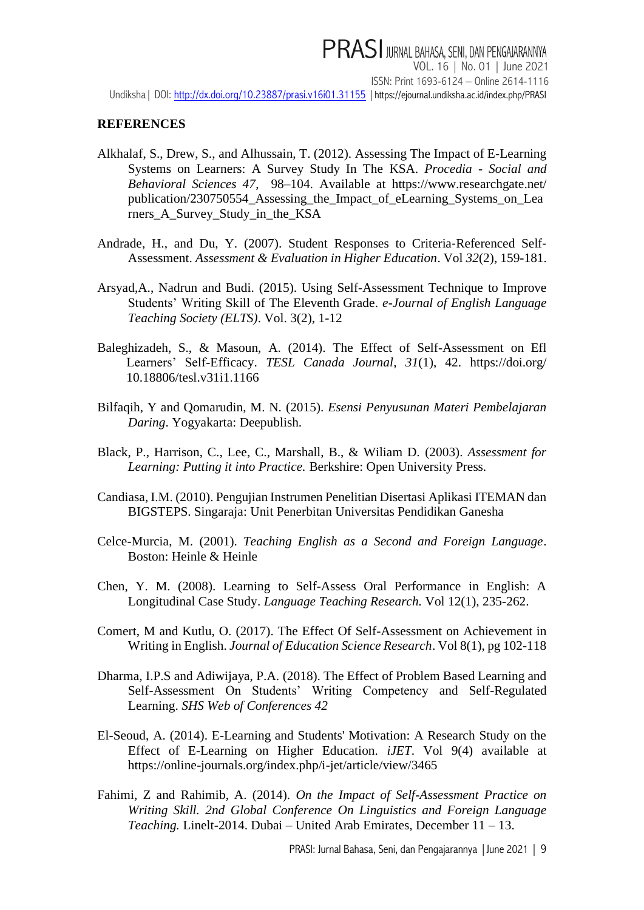#### **REFERENCES**

- Alkhalaf, S., Drew, S., and Alhussain, T. (2012). Assessing The Impact of E-Learning Systems on Learners: A Survey Study In The KSA. *Procedia - Social and Behavioral Sciences 47*, 98–104. Available at [https://www.researchgate.net/](https://www.researchgate.net/%20publication/230750554) [publication/230750554\\_](https://www.researchgate.net/%20publication/230750554)Assessing\_the\_Impact\_of\_eLearning\_Systems\_on\_Lea rners\_A\_Survey\_Study\_in\_the\_KSA
- [Andrade, H., and Du, Y. \(2007\). Student Responses to Criteria](http://www.tandfonline.com/doi/abs/10.1080/02602930600801928)‐Referenced Self[‐](http://www.tandfonline.com/doi/abs/10.1080/02602930600801928) Assessment. *[Assessment & Evaluation in Higher Education](http://www.tandfonline.com/doi/abs/10.1080/02602930600801928)*. Vol *32*(2), 159-181.
- Arsyad,A., Nadrun and Budi. (2015). Using Self-Assessment Technique to Improve Students' Writing Skill of The Eleventh Grade. *e-Journal of English Language Teaching Society (ELTS)*. Vol. 3(2), 1-12
- Baleghizadeh, S., & Masoun, A. (2014). The Effect of Self-Assessment on Efl Learners' Self-Efficacy. *TESL Canada Journal*, *31*(1), 42. [https://doi.org/](https://doi.org/%2010.18806/tesl.v31i1.1166) [10.18806/tesl.v31i1.1166](https://doi.org/%2010.18806/tesl.v31i1.1166)
- Bilfaqih, Y and Qomarudin, M. N. (2015). *Esensi Penyusunan Materi Pembelajaran Daring*. Yogyakarta: Deepublish.
- Black, P., Harrison, C., Lee, C., Marshall, B., & Wiliam D. (2003). *Assessment for Learning: Putting it into Practice.* Berkshire: Open University Press.
- Candiasa, I.M. (2010). Pengujian Instrumen Penelitian Disertasi Aplikasi ITEMAN dan BIGSTEPS. Singaraja: Unit Penerbitan Universitas Pendidikan Ganesha
- Celce-Murcia, M. (2001). *Teaching English as a Second and Foreign Language*. Boston: Heinle & Heinle
- Chen, Y. M. (2008). Learning to Self-Assess Oral Performance in English: A Longitudinal Case Study. *Language Teaching Research.* Vol 12(1), 235-262.
- Comert, M and Kutlu, O. (2017). The Effect Of Self-Assessment on Achievement in Writing in English. *Journal of Education Science Research*. Vol 8(1), pg 102-118
- Dharma, I.P.S and Adiwijaya, P.A. (2018). The Effect of Problem Based Learning and Self-Assessment On Students' Writing Competency and Self-Regulated Learning. *SHS Web of Conferences 42*
- El-Seoud, A. (2014). E-Learning and Students' Motivation: A Research Study on the Effect of E-Learning on Higher Education. *iJET*. Vol 9(4) available at https://online-journals.org/index.php/i-jet/article/view/3465
- Fahimi, Z and Rahimib, A. (2014). *On the Impact of Self-Assessment Practice on Writing Skill. 2nd Global Conference On Linguistics and Foreign Language Teaching.* Linelt-2014. Dubai – United Arab Emirates, December 11 – 13.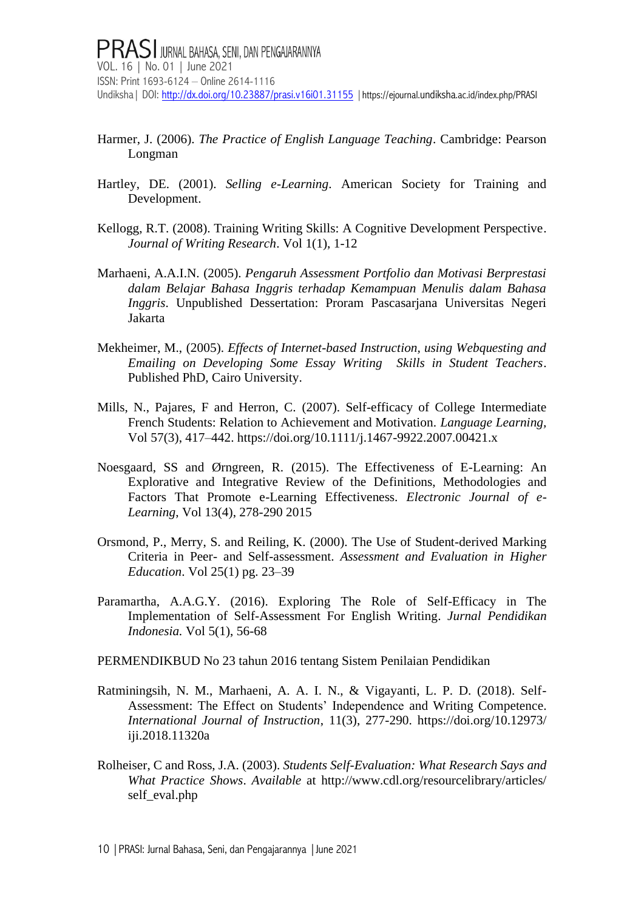- Harmer, J. (2006). *The Practice of English Language Teaching*. Cambridge: Pearson Longman
- Hartley, DE. (2001). *Selling e-Learning*. American Society for Training and Development.
- Kellogg, R.T. (2008). Training Writing Skills: A Cognitive Development Perspective. *Journal of Writing Research*. Vol 1(1), 1-12
- Marhaeni, A.A.I.N. (2005). *Pengaruh Assessment Portfolio dan Motivasi Berprestasi dalam Belajar Bahasa Inggris terhadap Kemampuan Menulis dalam Bahasa Inggris*. Unpublished Dessertation: Proram Pascasariana Universitas Negeri Jakarta
- Mekheimer, M., (2005). *Effects of Internet-based Instruction, using Webquesting and Emailing on Developing Some Essay Writing Skills in Student Teachers*. Published PhD, Cairo University.
- Mills, N., Pajares, F and Herron, C. (2007). Self-efficacy of College Intermediate French Students: Relation to Achievement and Motivation. *Language Learning,*  Vol 57(3), 417–442. [https://doi.org/10.1111/j.1467-9922.2007.00421.x](https://psycnet.apa.org/doi/10.1111/j.1467-9922.2007.00421.x)
- Noesgaard, SS and Ørngreen, R. (2015). The Effectiveness of E-Learning: An Explorative and Integrative Review of the Definitions, Methodologies and Factors That Promote e-Learning Effectiveness. *Electronic Journal of e-Learning*, Vol 13(4), 278-290 2015
- Orsmond, P., Merry, S. and Reiling, K. (2000). The Use of Student-derived Marking Criteria in Peer- and Self-assessment. *Assessment and Evaluation in Higher Education*. Vol 25(1) pg. 23–39
- Paramartha, A.A.G.Y. (2016). Exploring The Role of Self-Efficacy in The Implementation of Self-Assessment For English Writing. *Jurnal Pendidikan Indonesia.* Vol 5(1), 56-68

PERMENDIKBUD No 23 tahun 2016 tentang Sistem Penilaian Pendidikan

- Ratminingsih, N. M., Marhaeni, A. A. I. N., & Vigayanti, L. P. D. (2018). Self-Assessment: The Effect on Students' Independence and Writing Competence. *International Journal of Instruction*, 11(3), 277-290. [https://doi.org/10.12973/](https://doi.org/10.12973/%20iji.2018.11320a) [iji.2018.11320a](https://doi.org/10.12973/%20iji.2018.11320a)
- Rolheiser, C and Ross, J.A. (2003). *Students Self-Evaluation: What Research Says and What Practice Shows*. *Available* at [http://www.cdl.org/resourcelibrary/articles/](http://www.cdl.org/resourcelibrary/articles/%20self_eval.php) [self\\_eval.php](http://www.cdl.org/resourcelibrary/articles/%20self_eval.php)